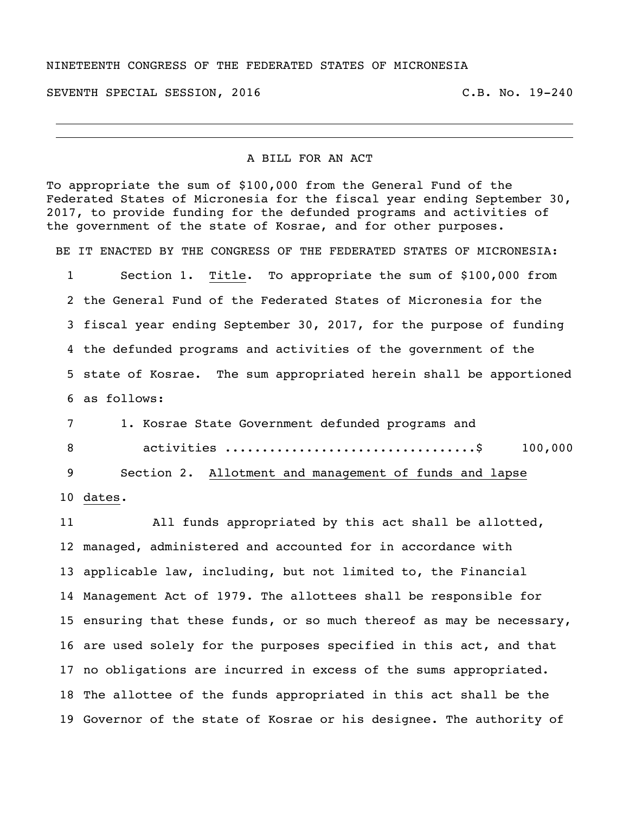## NINETEENTH CONGRESS OF THE FEDERATED STATES OF MICRONESIA

SEVENTH SPECIAL SESSION, 2016 C.B. No. 19-240

## A BILL FOR AN ACT

To appropriate the sum of \$100,000 from the General Fund of the Federated States of Micronesia for the fiscal year ending September 30, 2017, to provide funding for the defunded programs and activities of the government of the state of Kosrae, and for other purposes.

BE IT ENACTED BY THE CONGRESS OF THE FEDERATED STATES OF MICRONESIA:

 Section 1. Title. To appropriate the sum of \$100,000 from the General Fund of the Federated States of Micronesia for the fiscal year ending September 30, 2017, for the purpose of funding the defunded programs and activities of the government of the state of Kosrae. The sum appropriated herein shall be apportioned as follows:

| 1. Kosrae State Government defunded programs and<br>7       |  |
|-------------------------------------------------------------|--|
| activities \$ 100,000                                       |  |
| 9<br>Section 2. Allotment and management of funds and lapse |  |
| 10 dates.                                                   |  |

 All funds appropriated by this act shall be allotted, managed, administered and accounted for in accordance with applicable law, including, but not limited to, the Financial Management Act of 1979. The allottees shall be responsible for ensuring that these funds, or so much thereof as may be necessary, are used solely for the purposes specified in this act, and that no obligations are incurred in excess of the sums appropriated. The allottee of the funds appropriated in this act shall be the Governor of the state of Kosrae or his designee. The authority of